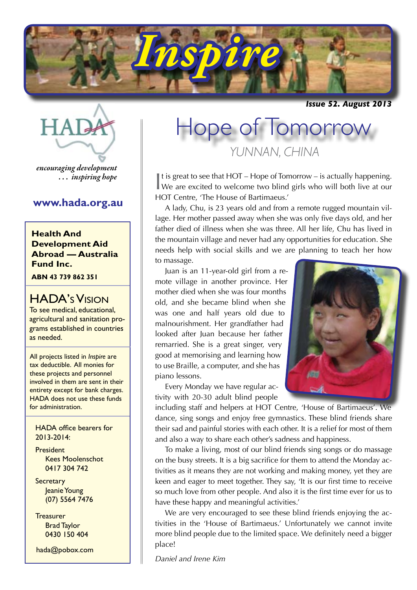

*Issue 52. August 2013*



*encouraging development . . . inspiring hope*

## **www.hada.org.au**

**Health And Development Aid Abroad — Australia Fund Inc.**

**ABN 43 739 862 351**

## HADA's Vision

To see medical, educational, agricultural and sanitation programs established in countries as needed.

All projects listed in *Inspire* are tax deductible. All monies for these projects and personnel involved in them are sent in their entirety except for bank charges. HADA does not use these funds for administration.

HADA office bearers for 2013-2014:

President Kees Moolenschot 0417 304 742

**Secretary** Jeanie Young (07) 5564 7476

**Treasurer** Brad Taylor 0430 150 404

hada@pobox.com

# *YUNNAN, CHINA* Hope of Tomorrow

It is great to see that HOT – Hope of Tomorrow – is actually happening.<br>We are excited to welcome two blind girls who will both live at our It is great to see that HOT – Hope of Tomorrow – is actually happening. HOT Centre, 'The House of Bartimaeus.'

A lady, Chu, is 23 years old and from a remote rugged mountain village. Her mother passed away when she was only five days old, and her father died of illness when she was three. All her life, Chu has lived in the mountain village and never had any opportunities for education. She needs help with social skills and we are planning to teach her how to massage.

Juan is an 11-year-old girl from a remote village in another province. Her mother died when she was four months old, and she became blind when she was one and half years old due to malnourishment. Her grandfather had looked after Juan because her father remarried. She is a great singer, very good at memorising and learning how to use Braille, a computer, and she has piano lessons.

Every Monday we have regular activity with 20-30 adult blind people



including staff and helpers at HOT Centre, 'House of Bartimaeus'. We dance, sing songs and enjoy free gymnastics. These blind friends share their sad and painful stories with each other. It is a relief for most of them and also a way to share each other's sadness and happiness.

To make a living, most of our blind friends sing songs or do massage on the busy streets. It is a big sacrifice for them to attend the Monday activities as it means they are not working and making money, yet they are keen and eager to meet together. They say, 'It is our first time to receive so much love from other people. And also it is the first time ever for us to have these happy and meaningful activities.'

We are very encouraged to see these blind friends enjoying the activities in the 'House of Bartimaeus.' Unfortunately we cannot invite more blind people due to the limited space. We definitely need a bigger place!

*Daniel and Irene Kim*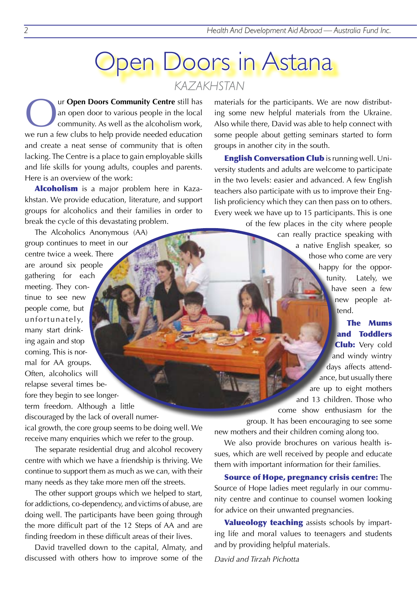## **Open Doors in Astana** *KAZAKHSTAN*

Our **Open Doors Community Centre** still has<br>an open door to various people in the local<br>community. As well as the alcoholism work, an open door to various people in the local community. As well as the alcoholism work, we run a few clubs to help provide needed education and create a neat sense of community that is often lacking. The Centre is a place to gain employable skills and life skills for young adults, couples and parents. Here is an overview of the work:

Alcoholism is a major problem here in Kazakhstan. We provide education, literature, and support groups for alcoholics and their families in order to break the cycle of this devastating problem.

The Alcoholics Anonymous (AA) group continues to meet in our centre twice a week. There are around six people gathering for each meeting. They continue to see new people come, but unfortunately, many start drinking again and stop coming. This is normal for AA groups. Often, alcoholics will relapse several times before they begin to see longerterm freedom. Although a little discouraged by the lack of overall numer-

ical growth, the core group seems to be doing well. We receive many enquiries which we refer to the group.

The separate residential drug and alcohol recovery centre with which we have a friendship is thriving. We continue to support them as much as we can, with their many needs as they take more men off the streets.

The other support groups which we helped to start, for addictions, co-dependency, and victims of abuse, are doing well. The participants have been going through the more difficult part of the 12 Steps of AA and are finding freedom in these difficult areas of their lives.

David travelled down to the capital, Almaty, and discussed with others how to improve some of the materials for the participants. We are now distributing some new helpful materials from the Ukraine. Also while there, David was able to help connect with some people about getting seminars started to form groups in another city in the south.

English Conversation Club is running well. University students and adults are welcome to participate in the two levels: easier and advanced. A few English teachers also participate with us to improve their English proficiency which they can then pass on to others. Every week we have up to 15 participants. This is one

of the few places in the city where people can really practice speaking with a native English speaker, so those who come are very happy for the opportunity. Lately, we have seen a few new people attend.

The Mums and Toddlers **Club:** Very cold and windy wintry days affects attendance, but usually there are up to eight mothers and 13 children. Those who come show enthusiasm for the group. It has been encouraging to see some

new mothers and their children coming along too.

We also provide brochures on various health issues, which are well received by people and educate them with important information for their families.

Source of Hope, pregnancy crisis centre: The Source of Hope ladies meet regularly in our community centre and continue to counsel women looking for advice on their unwanted pregnancies.

Valueology teaching assists schools by imparting life and moral values to teenagers and students and by providing helpful materials.

*David and Tirzah Pichotta*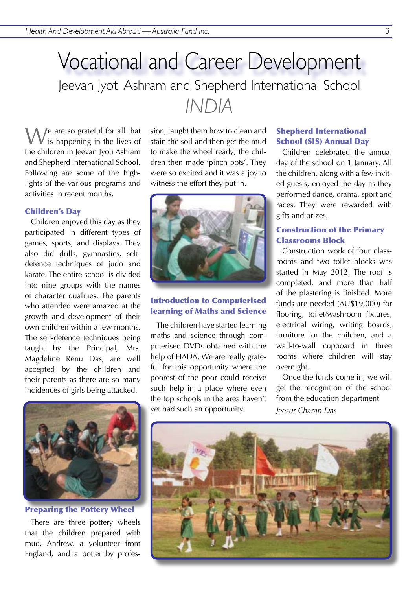## Vocational and Career Development *INDIA* Jeevan Jyoti Ashram and Shepherd International School

We are so grateful for all that is happening in the lives of the children in Jeevan Jyoti Ashram and Shepherd International School. Following are some of the highlights of the various programs and activities in recent months.

#### Children's Day

Children enjoyed this day as they participated in different types of games, sports, and displays. They also did drills, gymnastics, selfdefence techniques of judo and karate. The entire school is divided into nine groups with the names of character qualities. The parents who attended were amazed at the growth and development of their own children within a few months. The self-defence techniques being taught by the Principal, Mrs. Magdeline Renu Das, are well accepted by the children and their parents as there are so many incidences of girls being attacked.



Preparing the Pottery Wheel

There are three pottery wheels that the children prepared with mud. Andrew, a volunteer from England, and a potter by profession, taught them how to clean and stain the soil and then get the mud to make the wheel ready; the children then made 'pinch pots'. They were so excited and it was a joy to witness the effort they put in.



#### Introduction to Computerised learning of Maths and Science

The children have started learning maths and science through computerised DVDs obtained with the help of HADA. We are really grateful for this opportunity where the poorest of the poor could receive such help in a place where even the top schools in the area haven't yet had such an opportunity.

#### Shepherd International School (SIS) Annual Day

Children celebrated the annual day of the school on 1 January. All the children, along with a few invited guests, enjoyed the day as they performed dance, drama, sport and races. They were rewarded with gifts and prizes.

#### Construction of the Primary Classrooms Block

Construction work of four classrooms and two toilet blocks was started in May 2012. The roof is completed, and more than half of the plastering is finished. More funds are needed (AU\$19,000) for flooring, toilet/washroom fixtures, electrical wiring, writing boards, furniture for the children, and a wall-to-wall cupboard in three rooms where children will stay overnight.

Once the funds come in, we will get the recognition of the school from the education department.

*Jeesur Charan Das*

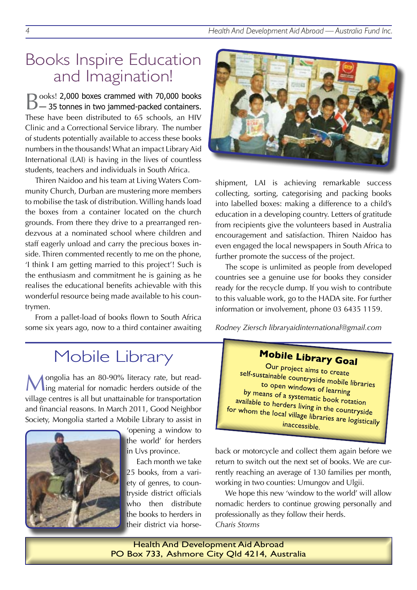## Books Inspire Education and Imagination!

Books! 2,000 boxes crammed with 70,000 books — 35 tonnes in two jammed-packed containers. These have been distributed to 65 schools, an HIV Clinic and a Correctional Service library. The number of students potentially available to access these books numbers in the thousands! What an impact Library Aid International (LAI) is having in the lives of countless students, teachers and individuals in South Africa.

Thiren Naidoo and his team at Living Waters Community Church, Durban are mustering more members to mobilise the task of distribution. Willing hands load the boxes from a container located on the church grounds. From there they drive to a prearranged rendezvous at a nominated school where children and staff eagerly unload and carry the precious boxes inside. Thiren commented recently to me on the phone, 'I think I am getting married to this project'! Such is the enthusiasm and commitment he is gaining as he realises the educational benefits achievable with this wonderful resource being made available to his countrymen.

From a pallet-load of books flown to South Africa some six years ago, now to a third container awaiting

## Mobile Library

Mongolia has an 80-90% literacy rate, but read-ing material for nomadic herders outside of the village centres is all but unattainable for transportation and financial reasons. In March 2011, Good Neighbor Society, Mongolia started a Mobile Library to assist in



'opening a window to the world' for herders in Uvs province.

Each month we take 25 books, from a variety of genres, to countryside district officials who then distribute the books to herders in their district via horse-



shipment, LAI is achieving remarkable success collecting, sorting, categorising and packing books into labelled boxes: making a difference to a child's education in a developing country. Letters of gratitude from recipients give the volunteers based in Australia encouragement and satisfaction. Thiren Naidoo has even engaged the local newspapers in South Africa to further promote the success of the project.

The scope is unlimited as people from developed countries see a genuine use for books they consider ready for the recycle dump. If you wish to contribute to this valuable work, go to the HADA site. For further information or involvement, phone 03 6435 1159.

*Rodney Ziersch libraryaidinternational@gmail.com*

## **Mobile Library Goal**

Our project aims to create self-sustainable countryside mobile libraries<br>to open windows of loss is to open windows of learning<br>eans of a such a barning by means of a systematic book rotation<br>allable to herders living in the contration *A incurs* or a systematic book rotation<br>available to herders living in the countryside<br>and the local village librari for whom the local village libraries are logistically<br>for whom the local village libraries are logistically inaccessible.

back or motorcycle and collect them again before we return to switch out the next set of books. We are currently reaching an average of 130 families per month, working in two counties: Umungov and Ulgii.

We hope this new 'window to the world' will allow nomadic herders to continue growing personally and professionally as they follow their herds. *Charis Storms*

Health And Development Aid Abroad PO Box 733, Ashmore City Qld 4214, Australia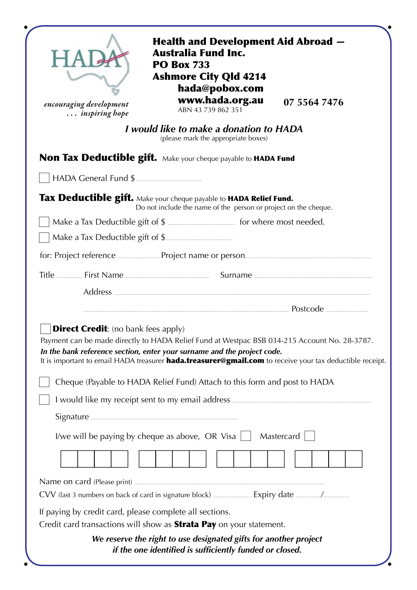| encouraging development<br>inspiring hope                                                                                             | <b>Health and Development Aid Abroad –</b><br><b>Australia Fund Inc.</b><br><b>PO Box 733</b><br><b>Ashmore City Qld 4214</b><br>hada@pobox.com<br>www.hada.org.au<br>ABN 43 739 862 351                                                                                                   | 07 5564 7476 |
|---------------------------------------------------------------------------------------------------------------------------------------|--------------------------------------------------------------------------------------------------------------------------------------------------------------------------------------------------------------------------------------------------------------------------------------------|--------------|
| I would like to make a donation to HADA<br>(please mark the appropriate boxes)                                                        |                                                                                                                                                                                                                                                                                            |              |
| <b>Non Tax Deductible gift.</b> Make your cheque payable to HADA Fund                                                                 |                                                                                                                                                                                                                                                                                            |              |
|                                                                                                                                       |                                                                                                                                                                                                                                                                                            |              |
| Tax Deductible gift. Make your cheque payable to HADA Relief Fund.<br>Do not include the name of the person or project on the cheque. |                                                                                                                                                                                                                                                                                            |              |
|                                                                                                                                       |                                                                                                                                                                                                                                                                                            |              |
|                                                                                                                                       |                                                                                                                                                                                                                                                                                            |              |
|                                                                                                                                       |                                                                                                                                                                                                                                                                                            |              |
|                                                                                                                                       |                                                                                                                                                                                                                                                                                            |              |
|                                                                                                                                       |                                                                                                                                                                                                                                                                                            |              |
|                                                                                                                                       |                                                                                                                                                                                                                                                                                            |              |
| <b>Direct Credit:</b> (no bank fees apply)                                                                                            | Payment can be made directly to HADA Relief Fund at Westpac BSB 034-215 Account No. 28-3787.<br>In the bank reference section, enter your surname and the project code.<br>It is important to email HADA treasurer <b>hada.treasurer@gmail.com</b> to receive your tax deductible receipt. |              |
| Cheque (Payable to HADA Relief Fund) Attach to this form and post to HADA                                                             |                                                                                                                                                                                                                                                                                            |              |
|                                                                                                                                       |                                                                                                                                                                                                                                                                                            |              |
|                                                                                                                                       |                                                                                                                                                                                                                                                                                            |              |
| I/we will be paying by cheque as above, OR Visa $\vert \vert$<br>Mastercard                                                           |                                                                                                                                                                                                                                                                                            |              |
|                                                                                                                                       |                                                                                                                                                                                                                                                                                            |              |
|                                                                                                                                       |                                                                                                                                                                                                                                                                                            |              |
| If paying by credit card, please complete all sections.<br>Credit card transactions will show as <b>Strata Pay</b> on your statement. |                                                                                                                                                                                                                                                                                            |              |
| We reserve the right to use designated gifts for another project<br>if the one identified is sufficiently funded or closed.           |                                                                                                                                                                                                                                                                                            |              |